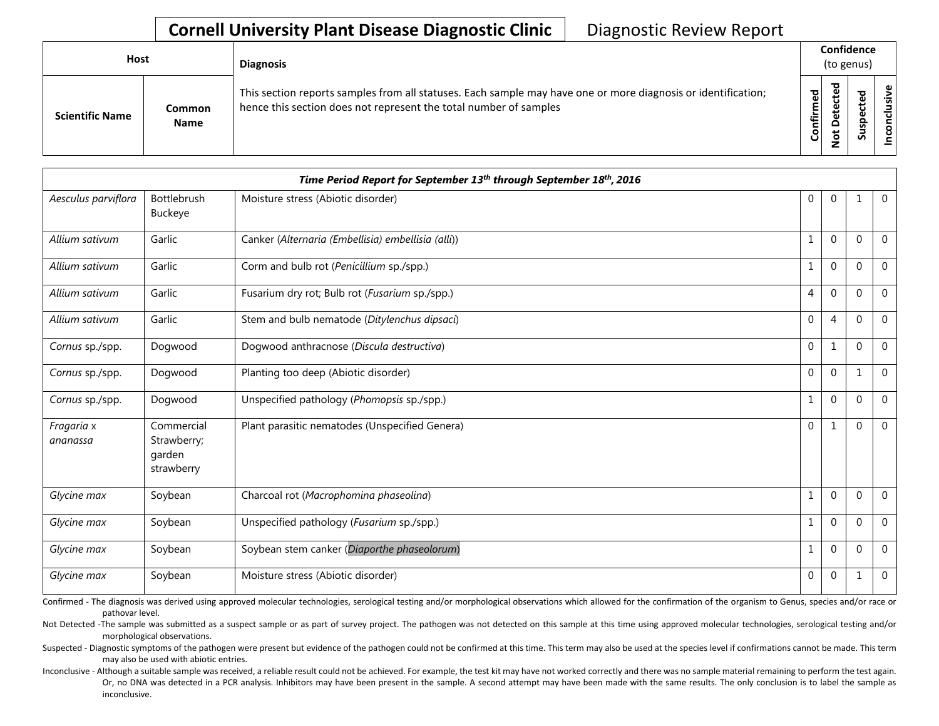## **Cornell University Plant Disease Diagnostic Clinic** | Diagnostic Review Report

| Host                   |                              | <b>Diagnosis</b>                                                                                                                                                                   |           | Confidence<br>(to genus) |        |                    |
|------------------------|------------------------------|------------------------------------------------------------------------------------------------------------------------------------------------------------------------------------|-----------|--------------------------|--------|--------------------|
| <b>Scientific Name</b> | <b>Common</b><br><b>Name</b> | This section reports samples from all statuses. Each sample may have one or more diagnosis or identification;<br>hence this section does not represent the total number of samples | Confirmed | ᇃ<br>$\Omega$            | 5<br>ب | usive<br>᠊ᠣ<br>CON |

|                        |                                                   | Time Period Report for September 13th through September 18th, 2016 |              |              |              |                |
|------------------------|---------------------------------------------------|--------------------------------------------------------------------|--------------|--------------|--------------|----------------|
| Aesculus parviflora    | Bottlebrush<br>Buckeye                            | Moisture stress (Abiotic disorder)                                 | $\mathbf 0$  | $\mathbf 0$  | 1            | $\overline{0}$ |
| Allium sativum         | Garlic                                            | Canker (Alternaria (Embellisia) embellisia (alli))                 | $\mathbf{1}$ | $\Omega$     | $\Omega$     | $\mathbf 0$    |
| Allium sativum         | Garlic                                            | Corm and bulb rot (Penicillium sp./spp.)                           |              | $\mathbf{0}$ | $\Omega$     | $\mathbf 0$    |
| Allium sativum         | Garlic                                            | Fusarium dry rot; Bulb rot (Fusarium sp./spp.)                     | 4            | $\mathbf{0}$ | $\Omega$     | $\mathbf 0$    |
| Allium sativum         | Garlic                                            | Stem and bulb nematode (Ditylenchus dipsaci)                       | $\mathbf 0$  | 4            | $\Omega$     | $\overline{0}$ |
| Cornus sp./spp.        | Dogwood                                           | Dogwood anthracnose (Discula destructiva)                          | $\mathbf{0}$ | $\mathbf{1}$ | $\Omega$     | $\mathbf 0$    |
| Cornus sp./spp.        | Dogwood                                           | Planting too deep (Abiotic disorder)                               | $\Omega$     | $\mathbf 0$  | $\mathbf{1}$ | $\mathbf 0$    |
| Cornus sp./spp.        | Dogwood                                           | Unspecified pathology (Phomopsis sp./spp.)                         |              | $\mathbf{0}$ | $\Omega$     | $\mathbf{0}$   |
| Fragaria x<br>ananassa | Commercial<br>Strawberry;<br>garden<br>strawberry | Plant parasitic nematodes (Unspecified Genera)                     | $\Omega$     | 1            | $\Omega$     | $\mathbf 0$    |
| Glycine max            | Soybean                                           | Charcoal rot (Macrophomina phaseolina)                             | $\mathbf{1}$ | $\mathbf 0$  | $\Omega$     | $\overline{0}$ |
| Glycine max            | Soybean                                           | Unspecified pathology (Fusarium sp./spp.)                          | $\mathbf{1}$ | $\mathbf{0}$ | $\Omega$     | $\Omega$       |
| Glycine max            | Soybean                                           | Soybean stem canker (Diaporthe phaseolorum)                        | 1            | $\mathbf{0}$ | $\Omega$     | $\mathbf 0$    |
| Glycine max            | Soybean                                           | Moisture stress (Abiotic disorder)                                 | 0            | $\mathbf 0$  | 1            | $\mathbf 0$    |

Confirmed - The diagnosis was derived using approved molecular technologies, serological testing and/or morphological observations which allowed for the confirmation of the organism to Genus, species and/or race or pathovar level.

Not Detected -The sample was submitted as a suspect sample or as part of survey project. The pathogen was not detected on this sample at this time using approved molecular technologies, serological testing and/or morphological observations.

Suspected - Diagnostic symptoms of the pathogen were present but evidence of the pathogen could not be confirmed at this time. This term may also be used at the species level if confirmations cannot be made. This term may also be used with abiotic entries.

Inconclusive - Although a suitable sample was received, a reliable result could not be achieved. For example, the test kit may have not worked correctly and there was no sample material remaining to perform the test again. Or, no DNA was detected in a PCR analysis. Inhibitors may have been present in the sample. A second attempt may have been made with the same results. The only conclusion is to label the sample as inconclusive.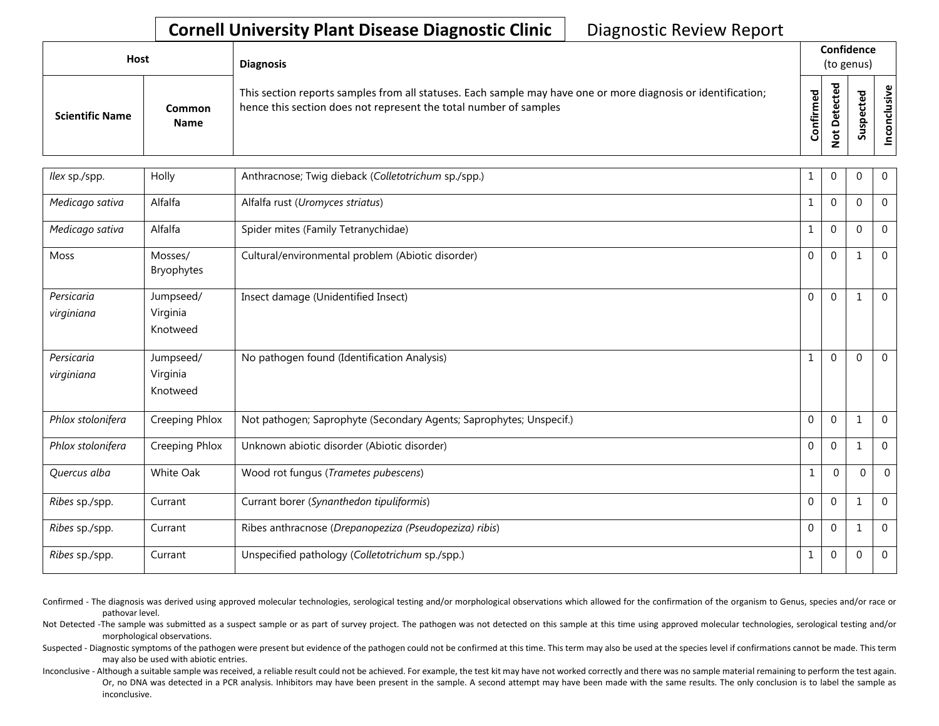## **Cornell University Plant Disease Diagnostic Clinic** | Diagnostic Review Report

| Host                   |                       | <b>Diagnosis</b>                                                                                                                                                                   |                             |                         | Confidence<br>(to genus) |                          |
|------------------------|-----------------------|------------------------------------------------------------------------------------------------------------------------------------------------------------------------------------|-----------------------------|-------------------------|--------------------------|--------------------------|
| <b>Scientific Name</b> | Common<br><b>Name</b> | This section reports samples from all statuses. Each sample may have one or more diagnosis or identification;<br>hence this section does not represent the total number of samples | $\overline{c}$<br>ηËι<br>ပိ | $\overline{\mathbf{c}}$ | ъ<br>ω<br><b>S</b>       | ഄ<br>2.<br>⊻<br><u>ဒ</u> |

| llex sp./spp.     | Holly                 | Anthracnose; Twig dieback (Colletotrichum sp./spp.)                 | 1            | $\mathbf{0}$ | 0            | $\mathbf 0$    |
|-------------------|-----------------------|---------------------------------------------------------------------|--------------|--------------|--------------|----------------|
| Medicago sativa   | Alfalfa               | Alfalfa rust (Uromyces striatus)                                    | $\mathbf{1}$ | $\mathbf{0}$ | $\Omega$     | $\mathbf 0$    |
| Medicago sativa   | Alfalfa               | Spider mites (Family Tetranychidae)                                 | $\mathbf{1}$ | $\Omega$     | $\Omega$     | $\overline{0}$ |
| <b>Moss</b>       | Mosses/<br>Bryophytes | Cultural/environmental problem (Abiotic disorder)                   | $\mathbf 0$  | $\mathbf{0}$ | 1            | $\mathbf 0$    |
| Persicaria        | Jumpseed/             | Insect damage (Unidentified Insect)                                 | $\Omega$     | $\Omega$     | $\mathbf{1}$ | $\mathbf 0$    |
| virginiana        | Virginia              |                                                                     |              |              |              |                |
|                   | Knotweed              |                                                                     |              |              |              |                |
| Persicaria        | Jumpseed/             | No pathogen found (Identification Analysis)                         | $\mathbf{1}$ | $\Omega$     | $\Omega$     | $\mathbf 0$    |
| virginiana        | Virginia              |                                                                     |              |              |              |                |
|                   | Knotweed              |                                                                     |              |              |              |                |
| Phlox stolonifera | Creeping Phlox        | Not pathogen; Saprophyte (Secondary Agents; Saprophytes; Unspecif.) | $\mathbf 0$  | $\mathbf{0}$ | 1            | $\mathbf 0$    |
| Phlox stolonifera | Creeping Phlox        | Unknown abiotic disorder (Abiotic disorder)                         | $\mathbf 0$  | $\mathbf{0}$ | $\mathbf 1$  | $\mathbf{0}$   |
| Quercus alba      | White Oak             | Wood rot fungus (Trametes pubescens)                                | $\mathbf{1}$ | $\Omega$     | $\Omega$     | $\Omega$       |
| Ribes sp./spp.    | Currant               | Currant borer (Synanthedon tipuliformis)                            | $\Omega$     | $\Omega$     | $\mathbf 1$  | $\Omega$       |
| Ribes sp./spp.    | Currant               | Ribes anthracnose (Drepanopeziza (Pseudopeziza) ribis)              | $\mathbf 0$  | $\mathbf{0}$ | $\mathbf 1$  | $\mathbf{0}$   |
| Ribes sp./spp.    | Currant               | Unspecified pathology (Colletotrichum sp./spp.)                     | $\mathbf{1}$ | $\mathbf{0}$ | $\Omega$     | $\mathbf{0}$   |

Confirmed - The diagnosis was derived using approved molecular technologies, serological testing and/or morphological observations which allowed for the confirmation of the organism to Genus, species and/or race or pathovar level.

Not Detected -The sample was submitted as a suspect sample or as part of survey project. The pathogen was not detected on this sample at this time using approved molecular technologies, serological testing and/or morphological observations.

Suspected - Diagnostic symptoms of the pathogen were present but evidence of the pathogen could not be confirmed at this time. This term may also be used at the species level if confirmations cannot be made. This term may also be used with abiotic entries.

Inconclusive - Although a suitable sample was received, a reliable result could not be achieved. For example, the test kit may have not worked correctly and there was no sample material remaining to perform the test again. Or, no DNA was detected in a PCR analysis. Inhibitors may have been present in the sample. A second attempt may have been made with the same results. The only conclusion is to label the sample as inconclusive.